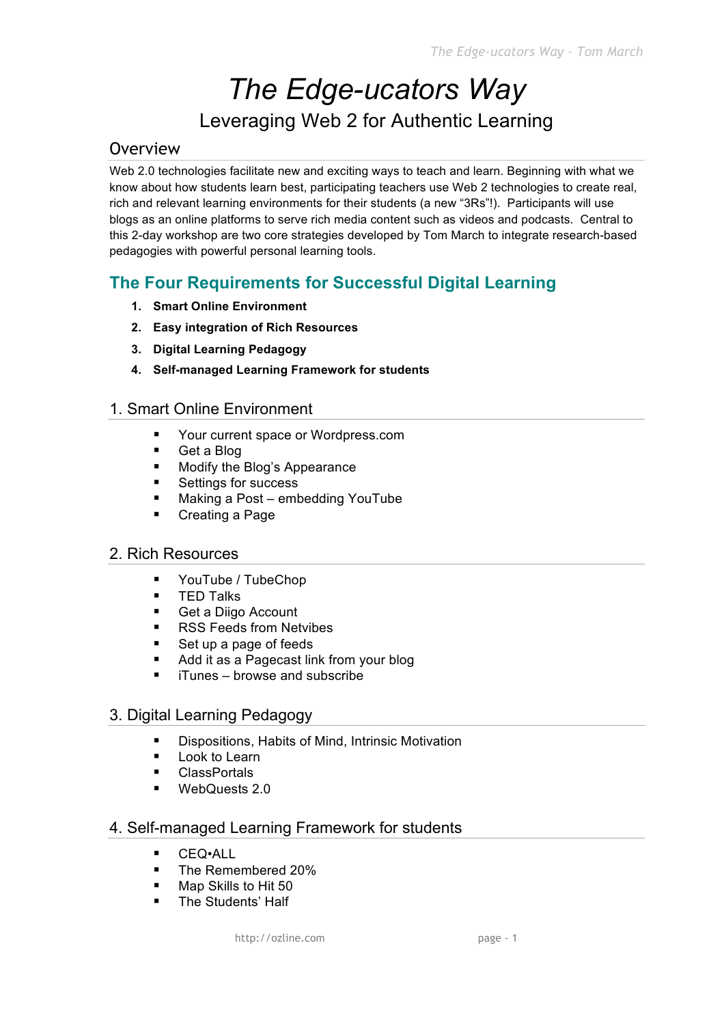## *The Edge-ucators Way* Leveraging Web 2 for Authentic Learning

## Overview

Web 2.0 technologies facilitate new and exciting ways to teach and learn. Beginning with what we know about how students learn best, participating teachers use Web 2 technologies to create real, rich and relevant learning environments for their students (a new "3Rs"!). Participants will use blogs as an online platforms to serve rich media content such as videos and podcasts. Central to this 2-day workshop are two core strategies developed by Tom March to integrate research-based pedagogies with powerful personal learning tools.

## **The Four Requirements for Successful Digital Learning**

- **1. Smart Online Environment**
- **2. Easy integration of Rich Resources**
- **3. Digital Learning Pedagogy**
- **4. Self-managed Learning Framework for students**

## 1. Smart Online Environment

- Your current space or Wordpress.com
- Get a Blog
- **Modify the Blog's Appearance**
- Settings for success
- Making a Post embedding YouTube
- Creating a Page

#### 2. Rich Resources

- **•** YouTube / TubeChop
- **TED Talks**
- Get a Diigo Account
- RSS Feeds from Netvibes
- Set up a page of feeds
- Add it as a Pagecast link from your blog
- **F** iTunes browse and subscribe

#### 3. Digital Learning Pedagogy

- Dispositions, Habits of Mind, Intrinsic Motivation
- **Look to Learn**
- **ClassPortals**
- WebQuests 2.0

#### 4. Self-managed Learning Framework for students

- CEQ•ALL
- The Remembered 20%
- Map Skills to Hit 50
- The Students' Half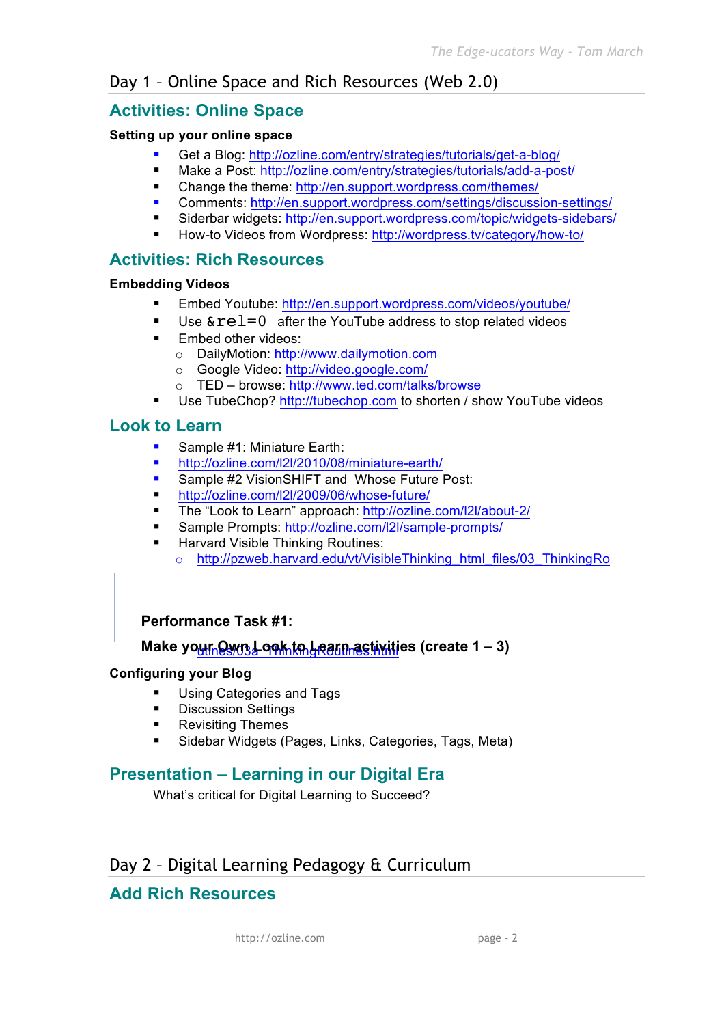## Day 1 – Online Space and Rich Resources (Web 2.0)

## **Activities: Online Space**

#### **Setting up your online space**

- Get a Blog: http://ozline.com/entry/strategies/tutorials/get-a-blog/
- Make a Post: http://ozline.com/entry/strategies/tutorials/add-a-post/
- Change the theme: http://en.support.wordpress.com/themes/
- Comments: http://en.support.wordpress.com/settings/discussion-settings/
- Siderbar widgets: http://en.support.wordpress.com/topic/widgets-sidebars/
- How-to Videos from Wordpress: http://wordpress.tv/category/how-to/

## **Activities: Rich Resources**

#### **Embedding Videos**

- Embed Youtube: http://en.support.wordpress.com/videos/youtube/
- Use  $\&rel=0$  after the YouTube address to stop related videos
- **Embed other videos:** 
	- o DailyMotion: http://www.dailymotion.com
	- o Google Video: http://video.google.com/
	- o TED browse: http://www.ted.com/talks/browse
- Use TubeChop? http://tubechop.com to shorten / show YouTube videos

## **Look to Learn**

- Sample #1: Miniature Earth:
- http://ozline.com/l2l/2010/08/miniature-earth/
- **Sample #2 VisionSHIFT and Whose Future Post:**
- http://ozline.com/l2l/2009/06/whose-future/
- The "Look to Learn" approach: http://ozline.com/l2l/about-2/
- Sample Prompts: http://ozline.com/l2l/sample-prompts/
- Harvard Visible Thinking Routines:
	- o http://pzweb.harvard.edu/vt/VisibleThinking\_html\_files/03\_ThinkingRo

#### **Performance Task #1:**

## <u>Make your Qwn Look to Լearn activiti</u>es (create 1 – 3)

#### **Configuring your Blog**

- **Using Categories and Tags**
- **Discussion Settings**
- **Revisiting Themes**
- Sidebar Widgets (Pages, Links, Categories, Tags, Meta)

## **Presentation – Learning in our Digital Era**

What's critical for Digital Learning to Succeed?

## Day 2 – Digital Learning Pedagogy & Curriculum

## **Add Rich Resources**

http://ozline.com page - 2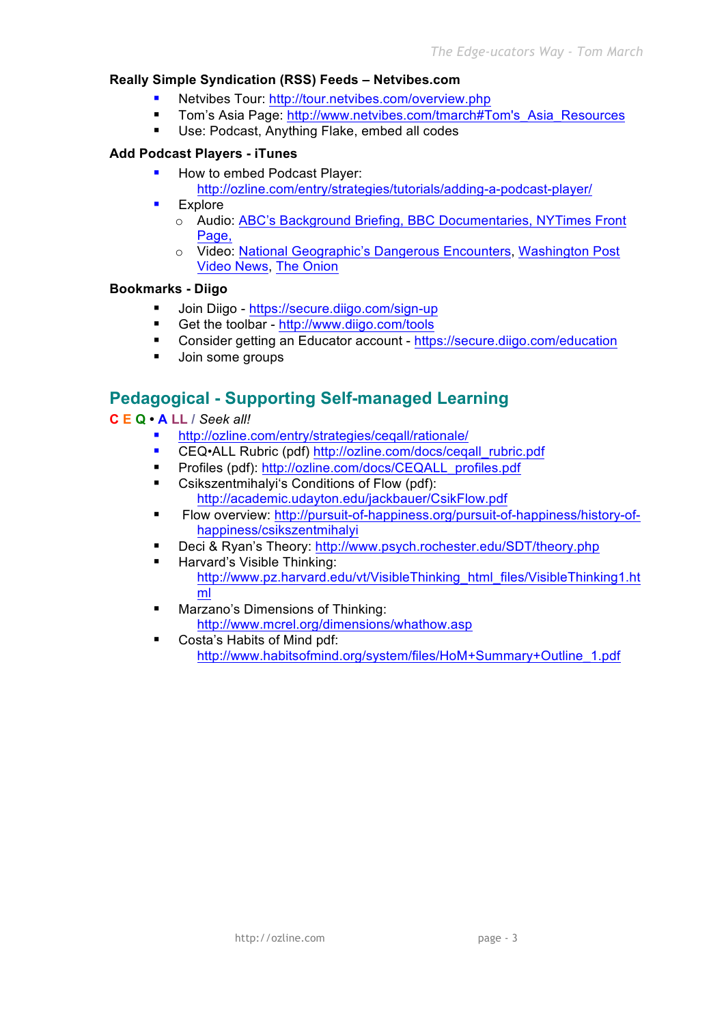#### **Really Simple Syndication (RSS) Feeds – Netvibes.com**

- Netvibes Tour: http://tour.netvibes.com/overview.php
- Tom's Asia Page: http://www.netvibes.com/tmarch#Tom's Asia\_Resources
- **Use: Podcast, Anything Flake, embed all codes**

#### **Add Podcast Players - iTunes**

- How to embed Podcast Player:
	- http://ozline.com/entry/strategies/tutorials/adding-a-podcast-player/
- Explore
	- o Audio: ABC's Background Briefing, BBC Documentaries, NYTimes Front Page.
	- o Video: National Geographic's Dangerous Encounters, Washington Post Video News, The Onion

#### **Bookmarks - Diigo**

- Join Diigo https://secure.diigo.com/sign-up
- Get the toolbar http://www.diigo.com/tools
- Consider getting an Educator account https://secure.diigo.com/education
- **Join some groups**

## **Pedagogical - Supporting Self-managed Learning**

#### **C E Q • A LL /** *Seek all!*

- http://ozline.com/entry/strategies/ceqall/rationale/
- CEQ•ALL Rubric (pdf) http://ozline.com/docs/cegall\_rubric.pdf
- Profiles (pdf): http://ozline.com/docs/CEQALL\_profiles.pdf
- **EXECO** Csikszentmihalyi's Conditions of Flow (pdf): http://academic.udayton.edu/jackbauer/CsikFlow.pdf
- Flow overview: http://pursuit-of-happiness.org/pursuit-of-happiness/history-ofhappiness/csikszentmihalyi
- Deci & Ryan's Theory: http://www.psych.rochester.edu/SDT/theory.php
- **Harvard's Visible Thinking:** http://www.pz.harvard.edu/vt/VisibleThinking\_html\_files/VisibleThinking1.ht ml
- Marzano's Dimensions of Thinking: http://www.mcrel.org/dimensions/whathow.asp
- Costa's Habits of Mind pdf: http://www.habitsofmind.org/system/files/HoM+Summary+Outline\_1.pdf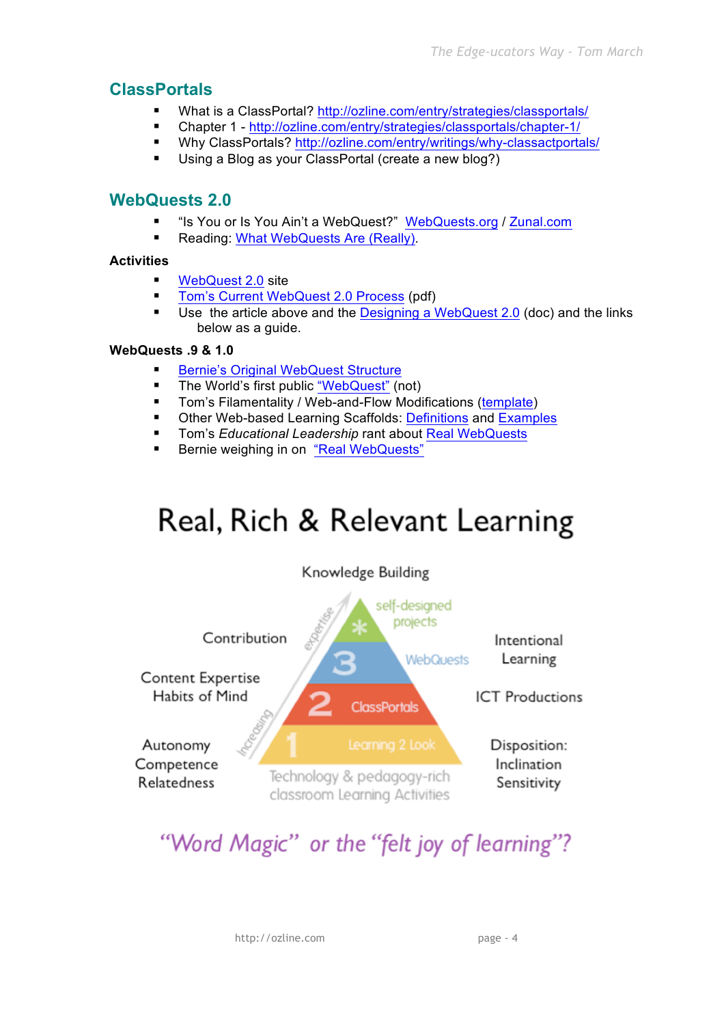## **ClassPortals**

- What is a ClassPortal? http://ozline.com/entry/strategies/classportals/
- Chapter 1 http://ozline.com/entry/strategies/classportals/chapter-1/
- Why ClassPortals? http://ozline.com/entry/writings/why-classactportals/
- Using a Blog as your ClassPortal (create a new blog?)

## **WebQuests 2.0**

- "Is You or Is You Ain't a WebQuest?" WebQuests.org / Zunal.com
- Reading: What WebQuests Are (Really).

#### **Activities**

- WebQuest 2.0 site
- **Tom's Current WebQuest 2.0 Process (pdf)**
- Use the article above and the Designing a WebQuest 2.0 (doc) and the links below as a guide.

#### **WebQuests .9 & 1.0**

- Bernie's Original WebQuest Structure
- **The World's first public "WebQuest" (not)**
- Tom's Filamentality / Web-and-Flow Modifications (template)
- Other Web-based Learning Scaffolds: Definitions and Examples
- **Tom's Educational Leadership rant about Real WebQuests**
- Bernie weighing in on "Real WebQuests"

# Real, Rich & Relevant Learning



## "Word Magic" or the "felt joy of learning"?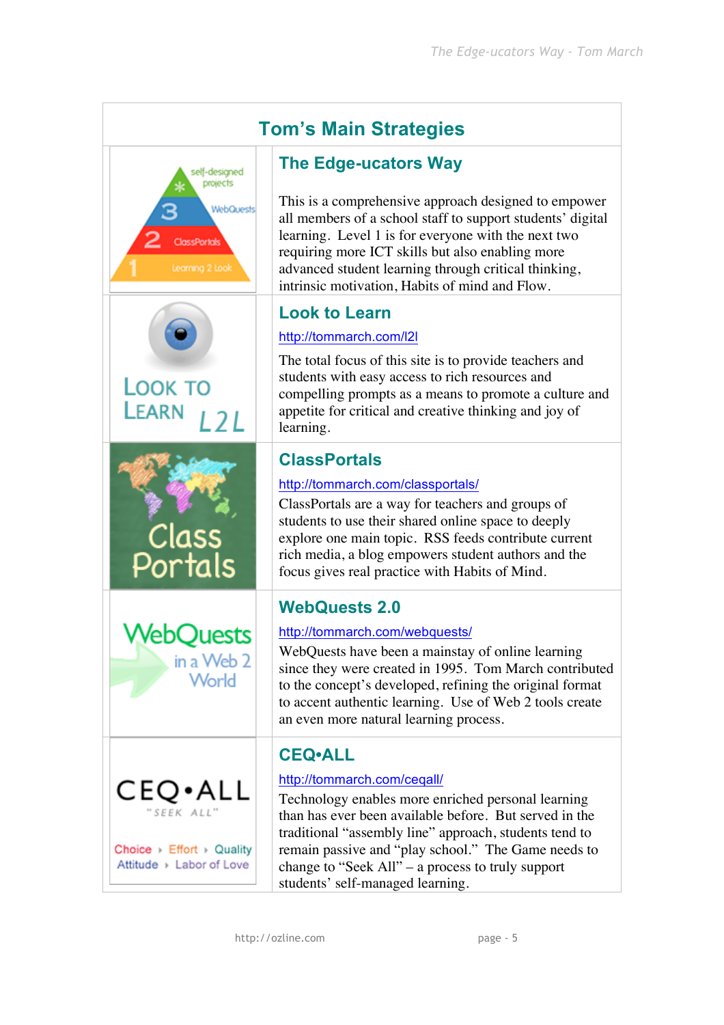